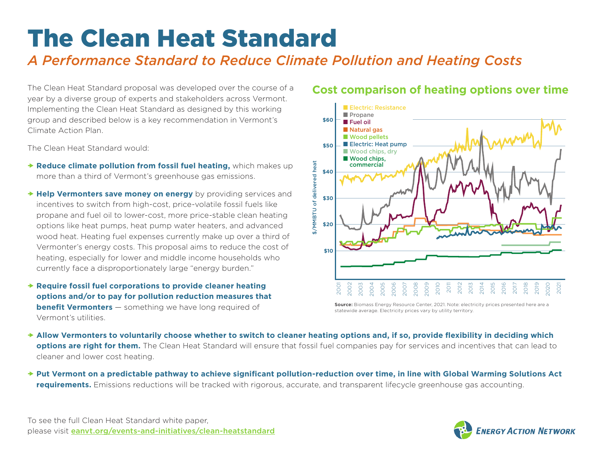# The Clean Heat Standard

## *A Performance Standard to Reduce Climate Pollution and Heating Costs*

The Clean Heat Standard proposal was developed over the course of a year by a diverse group of experts and stakeholders across Vermont. Implementing the Clean Heat Standard as designed by this working group and described below is a key recommendation in Vermont's Climate Action Plan.

The Clean Heat Standard would:

- **Reduce climate pollution from fossil fuel heating,** which makes up more than a third of Vermont's greenhouse gas emissions.
- **→ Help Vermonters save money on energy** by providing services and incentives to switch from high-cost, price-volatile fossil fuels like propane and fuel oil to lower-cost, more price-stable clean heating options like heat pumps, heat pump water heaters, and advanced wood heat. Heating fuel expenses currently make up over a third of Vermonter's energy costs. This proposal aims to reduce the cost of heating, especially for lower and middle income households who currently face a disproportionately large "energy burden."
- **Require fossil fuel corporations to provide cleaner heating options and/or to pay for pollution reduction measures that benefit Vermonters** – something we have long required of Vermont's utilities.

### **Cost comparison of heating options over time**



Source: Biomass Energy Resource Center, 2021. Note: electricity prices presented here are a statewide average. Electricity prices vary by utility territory.

- **Allow Vermonters to voluntarily choose whether to switch to cleaner heating options and, if so, provide flexibility in deciding which options are right for them.** The Clean Heat Standard will ensure that fossil fuel companies pay for services and incentives that can lead to cleaner and lower cost heating.
- **Put Vermont on a predictable pathway to achieve significant pollution-reduction over time, in line with Global Warming Solutions Act requirements.** Emissions reductions will be tracked with rigorous, accurate, and transparent lifecycle greenhouse gas accounting.